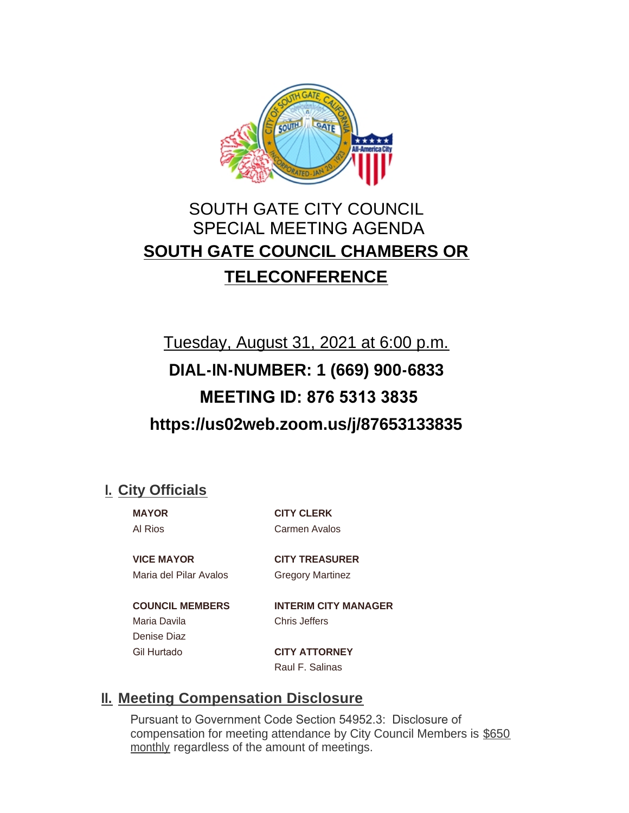

## SOUTH GATE CITY COUNCIL SPECIAL MEETING AGENDA **SOUTH GATE COUNCIL CHAMBERS OR TELECONFERENCE**

# Tuesday, August 31, 2021 at 6:00 p.m. **DIAL-IN-NUMBER: 1 (669) 900-6833 MEETING ID: 876 5313 3835 https://us02web.zoom.us/j/87653133835**

### **City Officials I.**

**MAYOR CITY CLERK** Al Rios Carmen Avalos

**VICE MAYOR CITY TREASURER** Maria del Pilar Avalos Gregory Martinez

Maria Davila Chris Jeffers Denise Diaz

**COUNCIL MEMBERS INTERIM CITY MANAGER**

Gil Hurtado **CITY ATTORNEY** Raul F. Salinas

### **Meeting Compensation Disclosure II.**

Pursuant to Government Code Section 54952.3: Disclosure of compensation for meeting attendance by City Council Members is \$650 monthly regardless of the amount of meetings.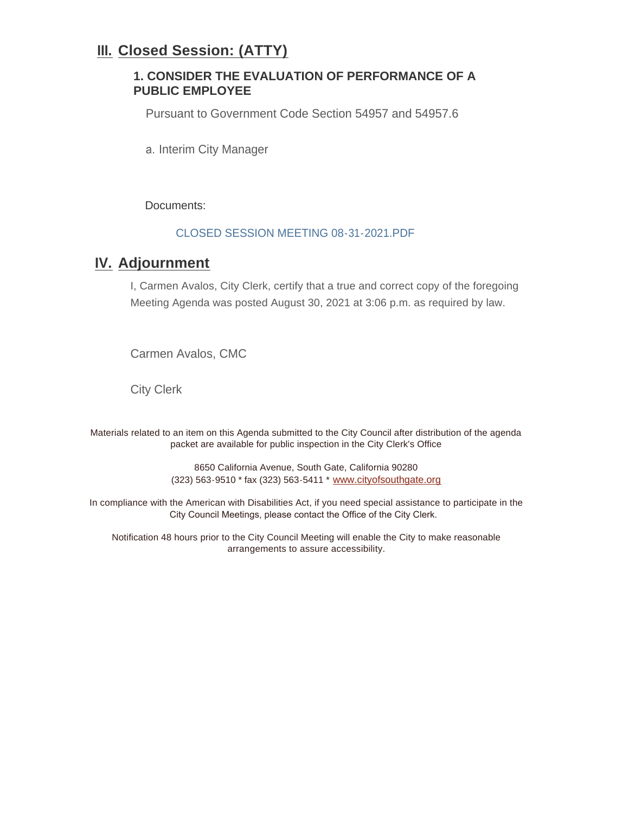### **Closed Session: (ATTY) III.**

#### **1. CONSIDER THE EVALUATION OF PERFORMANCE OF A PUBLIC EMPLOYEE**

Pursuant to Government Code Section 54957 and 54957.6

a. Interim City Manager

Documents:

#### CLOSED SESSION MEETING 08-31-2021.PDF

### **K. Adjournment**

I, Carmen Avalos, City Clerk, certify that a true and correct copy of the foregoing Meeting Agenda was posted August 30, 2021 at 3:06 p.m. as required by law.

Carmen Avalos, CMC

City Clerk

Materials related to an item on this Agenda submitted to the City Council after distribution of the agenda packet are available for public inspection in the City Clerk's Office

> 8650 California Avenue, South Gate, California 90280 (323) 563-9510 \* fax (323) 563-5411 \* [www.cityofsouthgate.org](http://www.cityofsouthgate.org/)

In compliance with the American with Disabilities Act, if you need special assistance to participate in the City Council Meetings, please contact the Office of the City Clerk.

Notification 48 hours prior to the City Council Meeting will enable the City to make reasonable arrangements to assure accessibility.